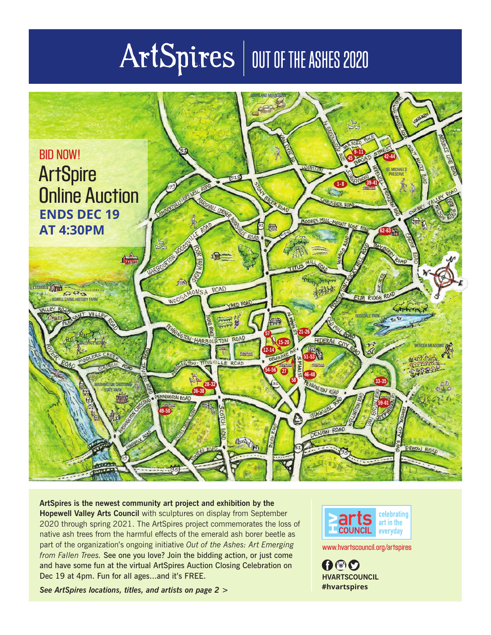# ArtSpires | OUT OF THE ASHES 2020



**ArtSpires is the newest community art project and exhibition by the Hopewell Valley Arts Council** with sculptures on display from September 2020 through spring 2021. The ArtSpires project commemorates the loss of native ash trees from the harmful effects of the emerald ash borer beetle as part of the organization's ongoing initiative *Out of the Ashes: Art Emerging from Fallen Trees.* See one you love? Join the bidding action, or just come and have some fun at the virtual ArtSpires Auction Closing Celebration on Dec 19 at 4pm. Fun for all ages...and it's FREE.

*See ArtSpires locations, titles, and artists on page 2 >*



www.hvartscouncil.org/artspires

000 **HVARTSCOUNCIL #hvartspires**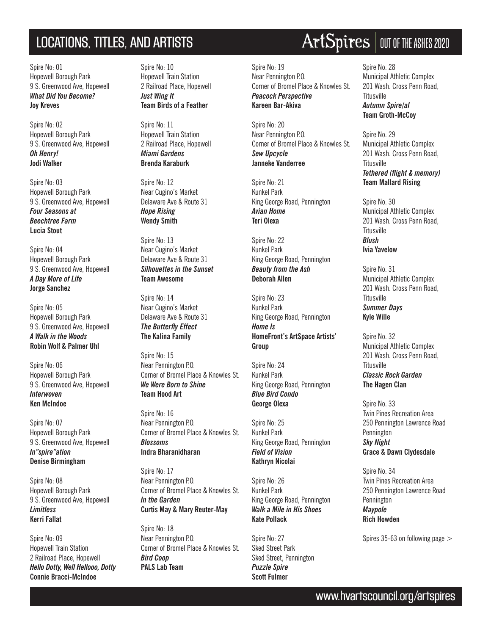### LOCATIONS, TITLES, AND ARTISTS

Spire No: 01 Hopewell Borough Park 9 S. Greenwood Ave, Hopewell *What Did You Become?* **Joy Kreves**

Spire No: 02 Hopewell Borough Park 9 S. Greenwood Ave, Hopewell *Oh Henry!* **Jodi Walker**

Spire No: 03 Hopewell Borough Park 9 S. Greenwood Ave, Hopewell *Four Seasons at Beechtree Farm* **Lucia Stout**

Spire No: 04 Hopewell Borough Park 9 S. Greenwood Ave, Hopewell *A Day More of Life* **Jorge Sanchez**

Spire No: 05 Hopewell Borough Park 9 S. Greenwood Ave, Hopewell *A Walk in the Woods* **Robin Wolf & Palmer Uhl**

Spire No: 06 Hopewell Borough Park 9 S. Greenwood Ave, Hopewell *Interwoven* **Ken McIndoe**

Spire No: 07 Hopewell Borough Park 9 S. Greenwood Ave, Hopewell *In"spire"ation* **Denise Birmingham**

Spire No: 08 Hopewell Borough Park 9 S. Greenwood Ave, Hopewell *Limitless* **Kerri Fallat**

Spire No: 09 Hopewell Train Station 2 Railroad Place, Hopewell *Hello Dotty, Well Hellooo, Dotty* **Connie Bracci-McIndoe**

Spire No: 10 Hopewell Train Station 2 Railroad Place, Hopewell *Just Wing It* **Team Birds of a Feather**

Spire No: 11 Hopewell Train Station 2 Railroad Place, Hopewell *Miami Gardens* **Brenda Karaburk**

Spire No: 12 Near Cugino's Market Delaware Ave & Route 31 *Hope Rising* **Wendy Smith**

Spire No: 13 Near Cugino's Market Delaware Ave & Route 31 *Silhouettes in the Sunset* **Team Awesome**

Spire No: 14 Near Cugino's Market Delaware Ave & Route 31 *The Butterfly Effect* **The Kalina Family**

Spire No: 15 Near Pennington P.O. Corner of Bromel Place & Knowles St. *We Were Born to Shine* **Team Hood Art**

Spire No: 16 Near Pennington P.O. Corner of Bromel Place & Knowles St. *Blossoms* **Indra Bharanidharan** 

Spire No: 17 Near Pennington P.O. Corner of Bromel Place & Knowles St. *In the Garden* **Curtis May & Mary Reuter-May**

Spire No: 18 Near Pennington P.O. Corner of Bromel Place & Knowles St. *Bird Coop* **PALS Lab Team**

## $\operatorname{\bf ArtSpires}\nolimits|$  out of the ashes 2020

Spire No: 19 Near Pennington P.O. Corner of Bromel Place & Knowles St. *Peacock Perspective* **Kareen Bar-Akiva**

Spire No: 20 Near Pennington P.O. Corner of Bromel Place & Knowles St. *Sew Upcycle* **Janneke Vanderree**

Spire No: 21 Kunkel Park King George Road, Pennington *Avian Home* **Teri Olexa**

Spire No: 22 Kunkel Park King George Road, Pennington *Beauty from the Ash* **Deborah Allen**

Spire No: 23 Kunkel Park King George Road, Pennington *Home Is* **HomeFront's ArtSpace Artists' Group**

Spire No: 24 Kunkel Park King George Road, Pennington *Blue Bird Condo* **George Olexa**

Spire No: 25 Kunkel Park King George Road, Pennington *Field of Vision* **Kathryn Nicolai**

Spire No: 26 Kunkel Park King George Road, Pennington *Walk a Mile in His Shoes* **Kate Pollack**

Spire No: 27 Sked Street Park Sked Street, Pennington *Puzzle Spire* **Scott Fulmer**

Spire No. 28 Municipal Athletic Complex 201 Wash. Cross Penn Road, **Titusville** *Autumn Spire/al* **Team Groth-McCoy**

Spire No. 29 Municipal Athletic Complex 201 Wash. Cross Penn Road, **Titusville** *Tethered (flight & memory)* **Team Mallard Rising**

Spire No. 30 Municipal Athletic Complex 201 Wash. Cross Penn Road, **Titusville** *Blush* **Ivia Yavelow**

Spire No. 31 Municipal Athletic Complex 201 Wash. Cross Penn Road, **Titusville** *Summer Days* **Kyle Wille**

Spire No. 32 Municipal Athletic Complex 201 Wash. Cross Penn Road, **Titusville** *Classic Rock Garden* **The Hagen Clan**

Spire No. 33 Twin Pines Recreation Area 250 Pennington Lawrence Road Pennington *Sky Night* **Grace & Dawn Clydesdale**

Spire No. 34 Twin Pines Recreation Area 250 Pennington Lawrence Road **Pennington** *Maypole* **Rich Howden**

Spires 35-63 on following page >